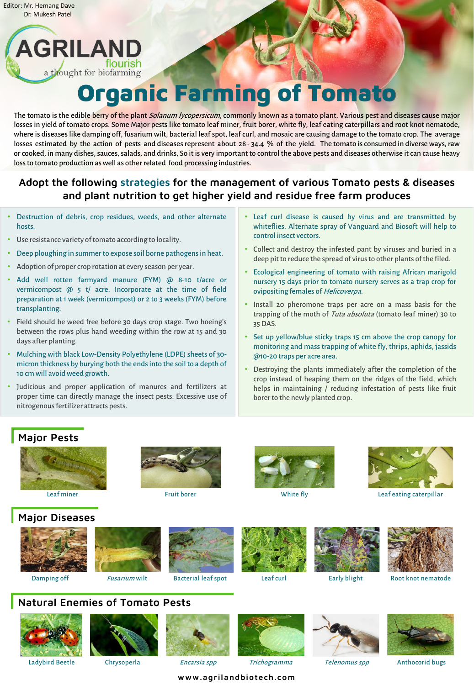# Organic Farming of Tomato

The tomato is the edible berry of the plant Solanum lycopersicum, commonly known as a tomato plant. Various pest and diseases cause major losses in yield of tomato crops. Some Major pests like tomato leaf miner, fruit borer, white fly, leaf eating caterpillars and root knot nematode, where is diseases like damping off, fusarium wilt, bacterial leaf spot, leaf curl, and mosaic are causing damage to the tomato crop. The average losses estimated by the action of pests and diseases represent about 28-34.4 % of the yield. The tomato is consumed in diverse ways, raw or cooked, in many dishes, sauces, salads, and drinks, So it is very important to control the above pests and diseases otherwise it can cause heavy loss to tomato production as well as other related food processing industries.

#### www.agrilandbiotech.com

## Adopt the following strategies for the management of various Tomato pests & diseases and plant nutrition to get higher yield and residue free farm produces

#### Major Pests









Leaf miner **Example 2** Fruit borer **Fruit borer** White fly **Example 2 Constant Constant Constant** Leaf eating caterpillar





#### Natural Enemies of Tomato Pests



Ladybird Beetle Chrysoperla *Encarsia spp* Trichogramma Telenomus spp Anthocorid bugs





### Major Diseases







Leaf curl

- Use resistance variety of tomato according to locality.
- Deep ploughing in summer to expose soil borne pathogens in heat.
- Adoption of proper crop rotation at every season per year.
- Add well rotten farmyard manure (FYM) @ 8-10 t/acre or vermicompost @ 5 t/ acre. Incorporate at the time of field preparation at 1 week (vermicompost) or 2 to 3 weeks (FYM) before transplanting.
- Field should be weed free before 30 days crop stage. Two hoeing's between the rows plus hand weeding within the row at 15 and 30 days after planting.
- Mulching with black Low-Density Polyethylene (LDPE) sheets of 30micron thickness by burying both the endsinto the soil to a depth of 10 cm will avoid weed growth.
- Judicious and proper application of manures and fertilizers at

proper time can directly manage the insect pests. Excessive use of nitrogenous fertilizer attracts pests.

borer to the newly planted crop.

- Leaf curl disease is caused by virus and are transmitted by whiteflies. Alternate spray of Vanguard and Biosoft will help to control insect vectors.
- Collect and destroy the infested pant by viruses and buried in a deep pit to reduce the spread of virus to other plants of the filed.
- Ecological engineering of tomato with raising African marigold nursery 15 days prior to tomato nursery serves as a trap crop for ovipositing females of Helicoverpa.
- Install 20 pheromone traps per acre on a mass basis for the trapping of the moth of Tuta absoluta (tomato leaf miner) 30 to 35DAS.
- Set up yellow/blue sticky traps 15 cm above the crop canopy for monitoring and mass trapping of white fly, thrips, aphids, jassids @10-20 traps per acre area.
- Destroying the plants immediately after the completion of the crop instead of heaping them on the ridges of the field, which helps in maintaining / reducing infestation of pests like fruit

Editor: Mr. Hemang Dave Dr. Mukesh Patel

AGRILAND

a thought for biofarming

• Destruction of debris, crop residues, weeds, and other alternate hosts.

flourish



Trichogramma







Root knot nematode